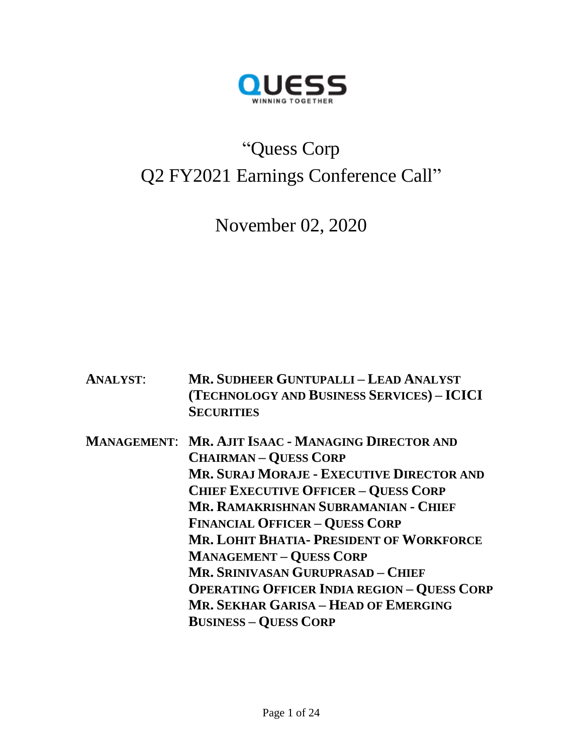

# "Quess Corp Q2 FY2021 Earnings Conference Call"

November 02, 2020

- **ANALYST**: **MR. SUDHEER GUNTUPALLI – LEAD ANALYST (TECHNOLOGY AND BUSINESS SERVICES) – ICICI SECURITIES**
- **MANAGEMENT**: **MR. AJIT ISAAC - MANAGING DIRECTOR AND CHAIRMAN – QUESS CORP MR. SURAJ MORAJE - EXECUTIVE DIRECTOR AND CHIEF EXECUTIVE OFFICER – QUESS CORP MR. RAMAKRISHNAN SUBRAMANIAN - CHIEF FINANCIAL OFFICER – QUESS CORP MR. LOHIT BHATIA- PRESIDENT OF WORKFORCE MANAGEMENT – QUESS CORP MR. SRINIVASAN GURUPRASAD – CHIEF OPERATING OFFICER INDIA REGION – QUESS CORP MR. SEKHAR GARISA – HEAD OF EMERGING BUSINESS – QUESS CORP**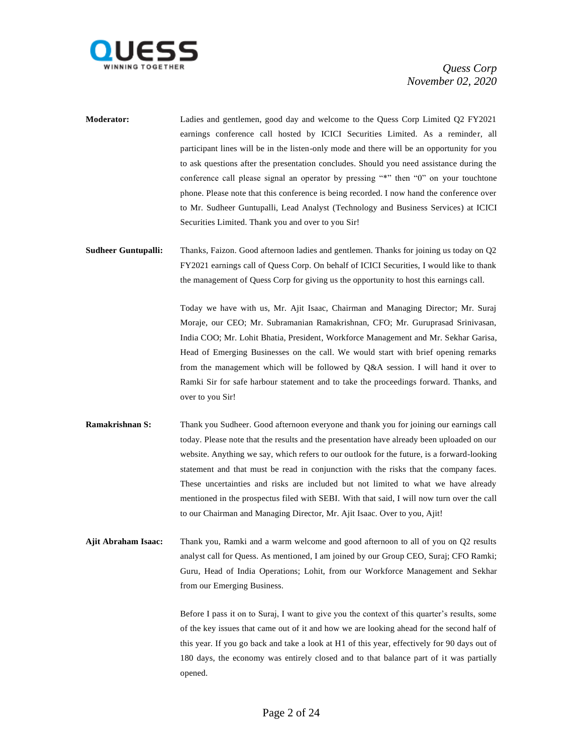

**Moderator:** Ladies and gentlemen, good day and welcome to the Quess Corp Limited Q2 FY2021 earnings conference call hosted by ICICI Securities Limited. As a reminder, all participant lines will be in the listen-only mode and there will be an opportunity for you to ask questions after the presentation concludes. Should you need assistance during the conference call please signal an operator by pressing "\*" then "0" on your touchtone phone. Please note that this conference is being recorded. I now hand the conference over to Mr. Sudheer Guntupalli, Lead Analyst (Technology and Business Services) at ICICI Securities Limited. Thank you and over to you Sir!

**Sudheer Guntupalli:** Thanks, Faizon. Good afternoon ladies and gentlemen. Thanks for joining us today on Q2 FY2021 earnings call of Quess Corp. On behalf of ICICI Securities, I would like to thank the management of Quess Corp for giving us the opportunity to host this earnings call.

> Today we have with us, Mr. Ajit Isaac, Chairman and Managing Director; Mr. Suraj Moraje, our CEO; Mr. Subramanian Ramakrishnan, CFO; Mr. Guruprasad Srinivasan, India COO; Mr. Lohit Bhatia, President, Workforce Management and Mr. Sekhar Garisa, Head of Emerging Businesses on the call. We would start with brief opening remarks from the management which will be followed by Q&A session. I will hand it over to Ramki Sir for safe harbour statement and to take the proceedings forward. Thanks, and over to you Sir!

- **Ramakrishnan S:** Thank you Sudheer. Good afternoon everyone and thank you for joining our earnings call today. Please note that the results and the presentation have already been uploaded on our website. Anything we say, which refers to our outlook for the future, is a forward-looking statement and that must be read in conjunction with the risks that the company faces. These uncertainties and risks are included but not limited to what we have already mentioned in the prospectus filed with SEBI. With that said, I will now turn over the call to our Chairman and Managing Director, Mr. Ajit Isaac. Over to you, Ajit!
- **Ajit Abraham Isaac:** Thank you, Ramki and a warm welcome and good afternoon to all of you on Q2 results analyst call for Quess. As mentioned, I am joined by our Group CEO, Suraj; CFO Ramki; Guru, Head of India Operations; Lohit, from our Workforce Management and Sekhar from our Emerging Business.

Before I pass it on to Suraj, I want to give you the context of this quarter's results, some of the key issues that came out of it and how we are looking ahead for the second half of this year. If you go back and take a look at H1 of this year, effectively for 90 days out of 180 days, the economy was entirely closed and to that balance part of it was partially opened.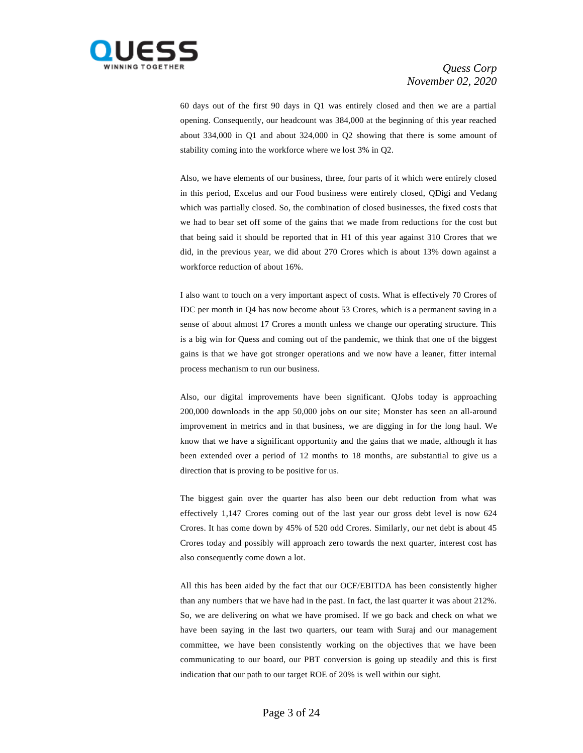

60 days out of the first 90 days in Q1 was entirely closed and then we are a partial opening. Consequently, our headcount was 384,000 at the beginning of this year reached about 334,000 in Q1 and about 324,000 in Q2 showing that there is some amount of stability coming into the workforce where we lost 3% in Q2.

Also, we have elements of our business, three, four parts of it which were entirely closed in this period, Excelus and our Food business were entirely closed, QDigi and Vedang which was partially closed. So, the combination of closed businesses, the fixed costs that we had to bear set off some of the gains that we made from reductions for the cost but that being said it should be reported that in H1 of this year against 310 Crores that we did, in the previous year, we did about 270 Crores which is about 13% down against a workforce reduction of about 16%.

I also want to touch on a very important aspect of costs. What is effectively 70 Crores of IDC per month in Q4 has now become about 53 Crores, which is a permanent saving in a sense of about almost 17 Crores a month unless we change our operating structure. This is a big win for Quess and coming out of the pandemic, we think that one of the biggest gains is that we have got stronger operations and we now have a leaner, fitter internal process mechanism to run our business.

Also, our digital improvements have been significant. QJobs today is approaching 200,000 downloads in the app 50,000 jobs on our site; Monster has seen an all-around improvement in metrics and in that business, we are digging in for the long haul. We know that we have a significant opportunity and the gains that we made, although it has been extended over a period of 12 months to 18 months, are substantial to give us a direction that is proving to be positive for us.

The biggest gain over the quarter has also been our debt reduction from what was effectively 1,147 Crores coming out of the last year our gross debt level is now 624 Crores. It has come down by 45% of 520 odd Crores. Similarly, our net debt is about 45 Crores today and possibly will approach zero towards the next quarter, interest cost has also consequently come down a lot.

All this has been aided by the fact that our OCF/EBITDA has been consistently higher than any numbers that we have had in the past. In fact, the last quarter it was about 212%. So, we are delivering on what we have promised. If we go back and check on what we have been saying in the last two quarters, our team with Suraj and our management committee, we have been consistently working on the objectives that we have been communicating to our board, our PBT conversion is going up steadily and this is first indication that our path to our target ROE of 20% is well within our sight.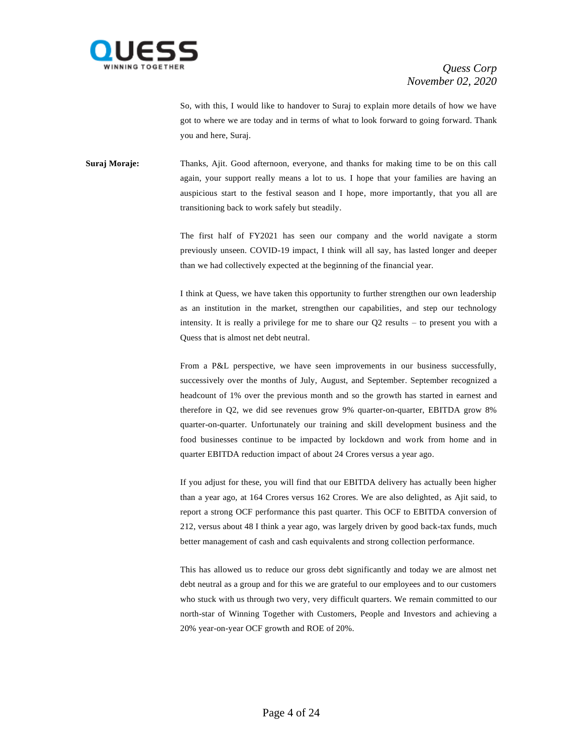

So, with this, I would like to handover to Suraj to explain more details of how we have got to where we are today and in terms of what to look forward to going forward. Thank you and here, Suraj.

**Suraj Moraje:** Thanks, Ajit. Good afternoon, everyone, and thanks for making time to be on this call again, your support really means a lot to us. I hope that your families are having an auspicious start to the festival season and I hope, more importantly, that you all are transitioning back to work safely but steadily.

> The first half of FY2021 has seen our company and the world navigate a storm previously unseen. COVID-19 impact, I think will all say, has lasted longer and deeper than we had collectively expected at the beginning of the financial year.

> I think at Quess, we have taken this opportunity to further strengthen our own leadership as an institution in the market, strengthen our capabilities, and step our technology intensity. It is really a privilege for me to share our Q2 results – to present you with a Quess that is almost net debt neutral.

> From a P&L perspective, we have seen improvements in our business successfully, successively over the months of July, August, and September. September recognized a headcount of 1% over the previous month and so the growth has started in earnest and therefore in Q2, we did see revenues grow 9% quarter-on-quarter, EBITDA grow 8% quarter-on-quarter. Unfortunately our training and skill development business and the food businesses continue to be impacted by lockdown and work from home and in quarter EBITDA reduction impact of about 24 Crores versus a year ago.

> If you adjust for these, you will find that our EBITDA delivery has actually been higher than a year ago, at 164 Crores versus 162 Crores. We are also delighted, as Ajit said, to report a strong OCF performance this past quarter. This OCF to EBITDA conversion of 212, versus about 48 I think a year ago, was largely driven by good back-tax funds, much better management of cash and cash equivalents and strong collection performance.

> This has allowed us to reduce our gross debt significantly and today we are almost net debt neutral as a group and for this we are grateful to our employees and to our customers who stuck with us through two very, very difficult quarters. We remain committed to our north-star of Winning Together with Customers, People and Investors and achieving a 20% year-on-year OCF growth and ROE of 20%.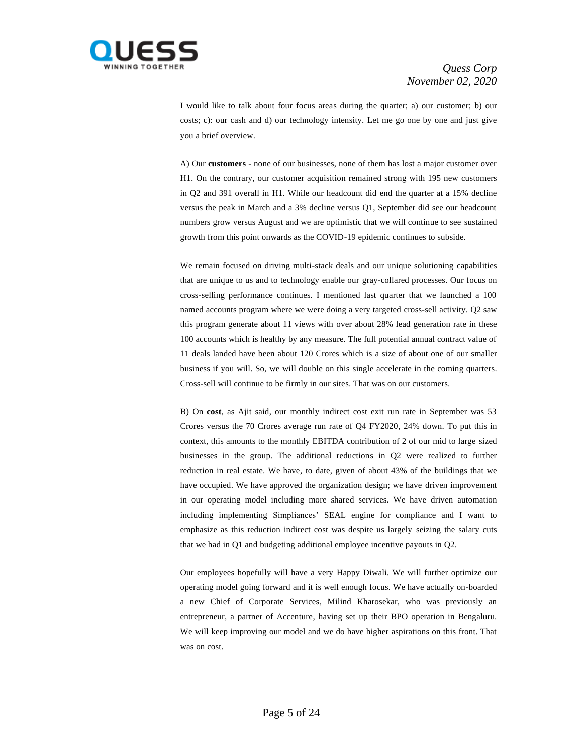

I would like to talk about four focus areas during the quarter; a) our customer; b) our costs; c): our cash and d) our technology intensity. Let me go one by one and just give you a brief overview.

A) Our **customers** - none of our businesses, none of them has lost a major customer over H1. On the contrary, our customer acquisition remained strong with 195 new customers in Q2 and 391 overall in H1. While our headcount did end the quarter at a 15% decline versus the peak in March and a 3% decline versus Q1, September did see our headcount numbers grow versus August and we are optimistic that we will continue to see sustained growth from this point onwards as the COVID-19 epidemic continues to subside.

We remain focused on driving multi-stack deals and our unique solutioning capabilities that are unique to us and to technology enable our gray-collared processes. Our focus on cross-selling performance continues. I mentioned last quarter that we launched a 100 named accounts program where we were doing a very targeted cross-sell activity. Q2 saw this program generate about 11 views with over about 28% lead generation rate in these 100 accounts which is healthy by any measure. The full potential annual contract value of 11 deals landed have been about 120 Crores which is a size of about one of our smaller business if you will. So, we will double on this single accelerate in the coming quarters. Cross-sell will continue to be firmly in our sites. That was on our customers.

B) On **cost**, as Ajit said, our monthly indirect cost exit run rate in September was 53 Crores versus the 70 Crores average run rate of Q4 FY2020, 24% down. To put this in context, this amounts to the monthly EBITDA contribution of 2 of our mid to large sized businesses in the group. The additional reductions in Q2 were realized to further reduction in real estate. We have, to date, given of about 43% of the buildings that we have occupied. We have approved the organization design; we have driven improvement in our operating model including more shared services. We have driven automation including implementing Simpliances' SEAL engine for compliance and I want to emphasize as this reduction indirect cost was despite us largely seizing the salary cuts that we had in Q1 and budgeting additional employee incentive payouts in Q2.

Our employees hopefully will have a very Happy Diwali. We will further optimize our operating model going forward and it is well enough focus. We have actually on-boarded a new Chief of Corporate Services, Milind Kharosekar, who was previously an entrepreneur, a partner of Accenture, having set up their BPO operation in Bengaluru. We will keep improving our model and we do have higher aspirations on this front. That was on cost.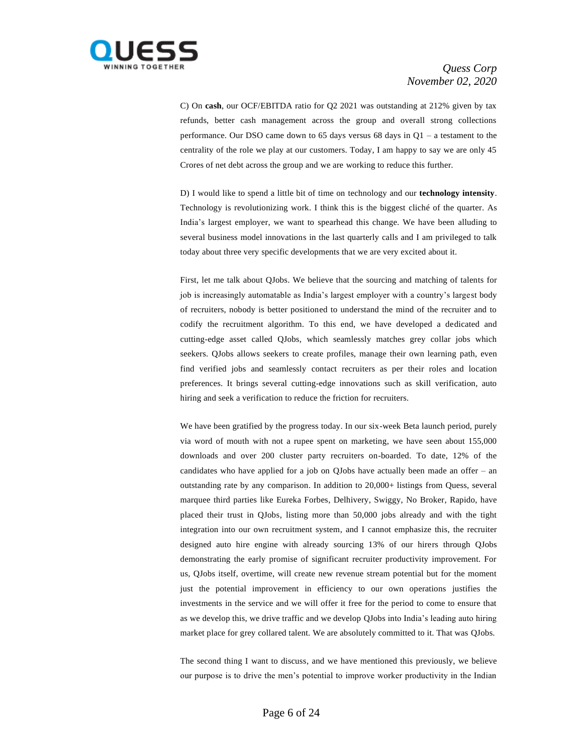

C) On **cash**, our OCF/EBITDA ratio for Q2 2021 was outstanding at 212% given by tax refunds, better cash management across the group and overall strong collections performance. Our DSO came down to 65 days versus 68 days in Q1 – a testament to the centrality of the role we play at our customers. Today, I am happy to say we are only 45 Crores of net debt across the group and we are working to reduce this further.

D) I would like to spend a little bit of time on technology and our **technology intensity**. Technology is revolutionizing work. I think this is the biggest cliché of the quarter. As India's largest employer, we want to spearhead this change. We have been alluding to several business model innovations in the last quarterly calls and I am privileged to talk today about three very specific developments that we are very excited about it.

First, let me talk about QJobs. We believe that the sourcing and matching of talents for job is increasingly automatable as India's largest employer with a country's largest body of recruiters, nobody is better positioned to understand the mind of the recruiter and to codify the recruitment algorithm. To this end, we have developed a dedicated and cutting-edge asset called QJobs, which seamlessly matches grey collar jobs which seekers. QJobs allows seekers to create profiles, manage their own learning path, even find verified jobs and seamlessly contact recruiters as per their roles and location preferences. It brings several cutting-edge innovations such as skill verification, auto hiring and seek a verification to reduce the friction for recruiters.

We have been gratified by the progress today. In our six-week Beta launch period, purely via word of mouth with not a rupee spent on marketing, we have seen about 155,000 downloads and over 200 cluster party recruiters on-boarded. To date, 12% of the candidates who have applied for a job on QJobs have actually been made an offer – an outstanding rate by any comparison. In addition to 20,000+ listings from Quess, several marquee third parties like Eureka Forbes, Delhivery, Swiggy, No Broker, Rapido, have placed their trust in QJobs, listing more than 50,000 jobs already and with the tight integration into our own recruitment system, and I cannot emphasize this, the recruiter designed auto hire engine with already sourcing 13% of our hirers through QJobs demonstrating the early promise of significant recruiter productivity improvement. For us, QJobs itself, overtime, will create new revenue stream potential but for the moment just the potential improvement in efficiency to our own operations justifies the investments in the service and we will offer it free for the period to come to ensure that as we develop this, we drive traffic and we develop QJobs into India's leading auto hiring market place for grey collared talent. We are absolutely committed to it. That was QJobs.

The second thing I want to discuss, and we have mentioned this previously, we believe our purpose is to drive the men's potential to improve worker productivity in the Indian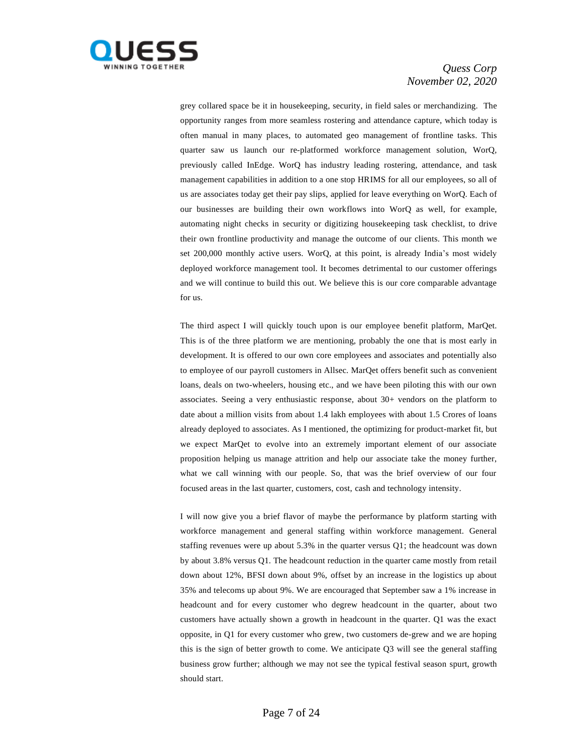

grey collared space be it in housekeeping, security, in field sales or merchandizing. The opportunity ranges from more seamless rostering and attendance capture, which today is often manual in many places, to automated geo management of frontline tasks. This quarter saw us launch our re-platformed workforce management solution, WorQ, previously called InEdge. WorQ has industry leading rostering, attendance, and task management capabilities in addition to a one stop HRIMS for all our employees, so all of us are associates today get their pay slips, applied for leave everything on WorQ. Each of our businesses are building their own workflows into WorQ as well, for example, automating night checks in security or digitizing housekeeping task checklist, to drive their own frontline productivity and manage the outcome of our clients. This month we set 200,000 monthly active users. WorQ, at this point, is already India's most widely deployed workforce management tool. It becomes detrimental to our customer offerings and we will continue to build this out. We believe this is our core comparable advantage for us.

The third aspect I will quickly touch upon is our employee benefit platform, MarQet. This is of the three platform we are mentioning, probably the one that is most early in development. It is offered to our own core employees and associates and potentially also to employee of our payroll customers in Allsec. MarQet offers benefit such as convenient loans, deals on two-wheelers, housing etc., and we have been piloting this with our own associates. Seeing a very enthusiastic response, about 30+ vendors on the platform to date about a million visits from about 1.4 lakh employees with about 1.5 Crores of loans already deployed to associates. As I mentioned, the optimizing for product-market fit, but we expect MarQet to evolve into an extremely important element of our associate proposition helping us manage attrition and help our associate take the money further, what we call winning with our people. So, that was the brief overview of our four focused areas in the last quarter, customers, cost, cash and technology intensity.

I will now give you a brief flavor of maybe the performance by platform starting with workforce management and general staffing within workforce management. General staffing revenues were up about 5.3% in the quarter versus Q1; the headcount was down by about 3.8% versus Q1. The headcount reduction in the quarter came mostly from retail down about 12%, BFSI down about 9%, offset by an increase in the logistics up about 35% and telecoms up about 9%. We are encouraged that September saw a 1% increase in headcount and for every customer who degrew headcount in the quarter, about two customers have actually shown a growth in headcount in the quarter. Q1 was the exact opposite, in Q1 for every customer who grew, two customers de-grew and we are hoping this is the sign of better growth to come. We anticipate Q3 will see the general staffing business grow further; although we may not see the typical festival season spurt, growth should start.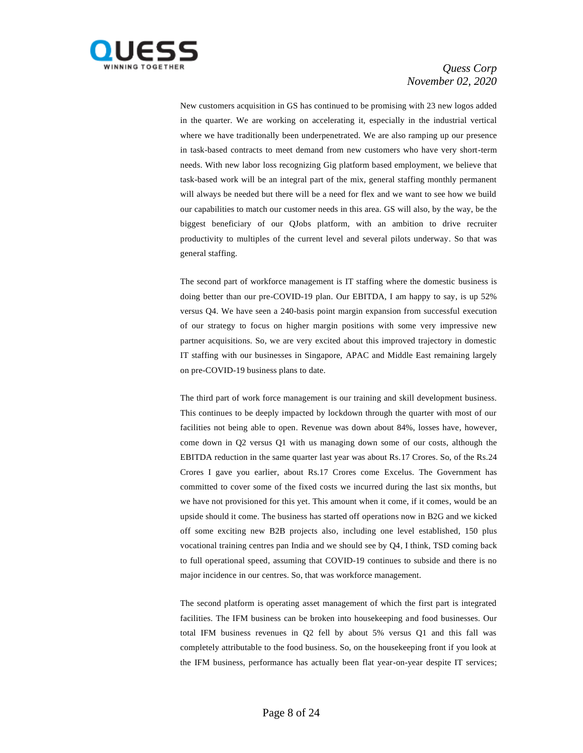

New customers acquisition in GS has continued to be promising with 23 new logos added in the quarter. We are working on accelerating it, especially in the industrial vertical where we have traditionally been underpenetrated. We are also ramping up our presence in task-based contracts to meet demand from new customers who have very short-term needs. With new labor loss recognizing Gig platform based employment, we believe that task-based work will be an integral part of the mix, general staffing monthly permanent will always be needed but there will be a need for flex and we want to see how we build our capabilities to match our customer needs in this area. GS will also, by the way, be the biggest beneficiary of our QJobs platform, with an ambition to drive recruiter productivity to multiples of the current level and several pilots underway. So that was general staffing.

The second part of workforce management is IT staffing where the domestic business is doing better than our pre-COVID-19 plan. Our EBITDA, I am happy to say, is up 52% versus Q4. We have seen a 240-basis point margin expansion from successful execution of our strategy to focus on higher margin positions with some very impressive new partner acquisitions. So, we are very excited about this improved trajectory in domestic IT staffing with our businesses in Singapore, APAC and Middle East remaining largely on pre-COVID-19 business plans to date.

The third part of work force management is our training and skill development business. This continues to be deeply impacted by lockdown through the quarter with most of our facilities not being able to open. Revenue was down about 84%, losses have, however, come down in Q2 versus Q1 with us managing down some of our costs, although the EBITDA reduction in the same quarter last year was about Rs.17 Crores. So, of the Rs.24 Crores I gave you earlier, about Rs.17 Crores come Excelus. The Government has committed to cover some of the fixed costs we incurred during the last six months, but we have not provisioned for this yet. This amount when it come, if it comes, would be an upside should it come. The business has started off operations now in B2G and we kicked off some exciting new B2B projects also, including one level established, 150 plus vocational training centres pan India and we should see by Q4, I think, TSD coming back to full operational speed, assuming that COVID-19 continues to subside and there is no major incidence in our centres. So, that was workforce management.

The second platform is operating asset management of which the first part is integrated facilities. The IFM business can be broken into housekeeping and food businesses. Our total IFM business revenues in Q2 fell by about 5% versus Q1 and this fall was completely attributable to the food business. So, on the housekeeping front if you look at the IFM business, performance has actually been flat year-on-year despite IT services;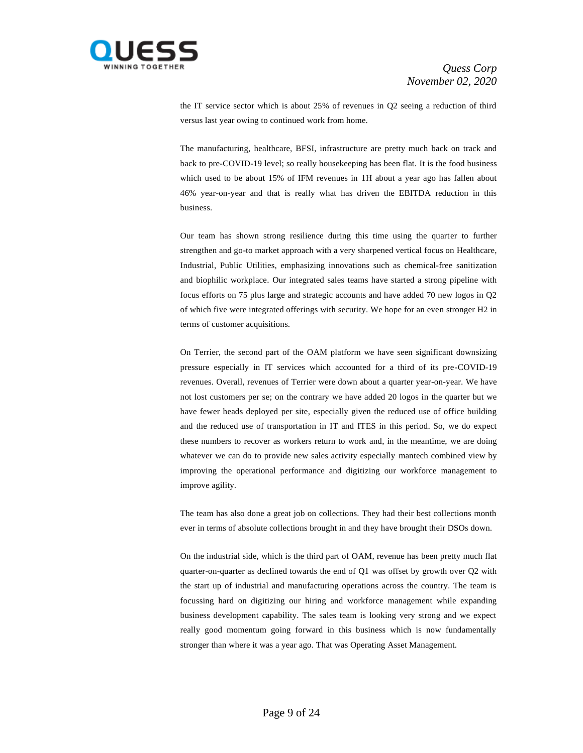

the IT service sector which is about 25% of revenues in Q2 seeing a reduction of third versus last year owing to continued work from home.

The manufacturing, healthcare, BFSI, infrastructure are pretty much back on track and back to pre-COVID-19 level; so really housekeeping has been flat. It is the food business which used to be about 15% of IFM revenues in 1H about a year ago has fallen about 46% year-on-year and that is really what has driven the EBITDA reduction in this business.

Our team has shown strong resilience during this time using the quarter to further strengthen and go-to market approach with a very sharpened vertical focus on Healthcare, Industrial, Public Utilities, emphasizing innovations such as chemical-free sanitization and biophilic workplace. Our integrated sales teams have started a strong pipeline with focus efforts on 75 plus large and strategic accounts and have added 70 new logos in Q2 of which five were integrated offerings with security. We hope for an even stronger H2 in terms of customer acquisitions.

On Terrier, the second part of the OAM platform we have seen significant downsizing pressure especially in IT services which accounted for a third of its pre-COVID-19 revenues. Overall, revenues of Terrier were down about a quarter year-on-year. We have not lost customers per se; on the contrary we have added 20 logos in the quarter but we have fewer heads deployed per site, especially given the reduced use of office building and the reduced use of transportation in IT and ITES in this period. So, we do expect these numbers to recover as workers return to work and, in the meantime, we are doing whatever we can do to provide new sales activity especially mantech combined view by improving the operational performance and digitizing our workforce management to improve agility.

The team has also done a great job on collections. They had their best collections month ever in terms of absolute collections brought in and they have brought their DSOs down.

On the industrial side, which is the third part of OAM, revenue has been pretty much flat quarter-on-quarter as declined towards the end of Q1 was offset by growth over Q2 with the start up of industrial and manufacturing operations across the country. The team is focussing hard on digitizing our hiring and workforce management while expanding business development capability. The sales team is looking very strong and we expect really good momentum going forward in this business which is now fundamentally stronger than where it was a year ago. That was Operating Asset Management.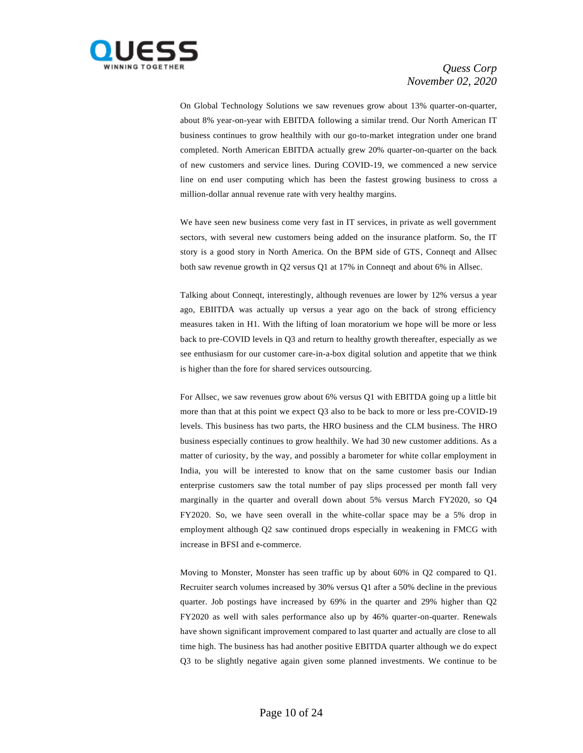

On Global Technology Solutions we saw revenues grow about 13% quarter-on-quarter, about 8% year-on-year with EBITDA following a similar trend. Our North American IT business continues to grow healthily with our go-to-market integration under one brand completed. North American EBITDA actually grew 20% quarter-on-quarter on the back of new customers and service lines. During COVID-19, we commenced a new service line on end user computing which has been the fastest growing business to cross a million-dollar annual revenue rate with very healthy margins.

We have seen new business come very fast in IT services, in private as well government sectors, with several new customers being added on the insurance platform. So, the IT story is a good story in North America. On the BPM side of GTS, Conneqt and Allsec both saw revenue growth in Q2 versus Q1 at 17% in Conneqt and about 6% in Allsec.

Talking about Conneqt, interestingly, although revenues are lower by 12% versus a year ago, EBIITDA was actually up versus a year ago on the back of strong efficiency measures taken in H1. With the lifting of loan moratorium we hope will be more or less back to pre-COVID levels in Q3 and return to healthy growth thereafter, especially as we see enthusiasm for our customer care-in-a-box digital solution and appetite that we think is higher than the fore for shared services outsourcing.

For Allsec, we saw revenues grow about 6% versus Q1 with EBITDA going up a little bit more than that at this point we expect Q3 also to be back to more or less pre-COVID-19 levels. This business has two parts, the HRO business and the CLM business. The HRO business especially continues to grow healthily. We had 30 new customer additions. As a matter of curiosity, by the way, and possibly a barometer for white collar employment in India, you will be interested to know that on the same customer basis our Indian enterprise customers saw the total number of pay slips processed per month fall very marginally in the quarter and overall down about 5% versus March FY2020, so Q4 FY2020. So, we have seen overall in the white-collar space may be a 5% drop in employment although Q2 saw continued drops especially in weakening in FMCG with increase in BFSI and e-commerce.

Moving to Monster, Monster has seen traffic up by about 60% in Q2 compared to Q1. Recruiter search volumes increased by 30% versus Q1 after a 50% decline in the previous quarter. Job postings have increased by 69% in the quarter and 29% higher than Q2 FY2020 as well with sales performance also up by 46% quarter-on-quarter. Renewals have shown significant improvement compared to last quarter and actually are close to all time high. The business has had another positive EBITDA quarter although we do expect Q3 to be slightly negative again given some planned investments. We continue to be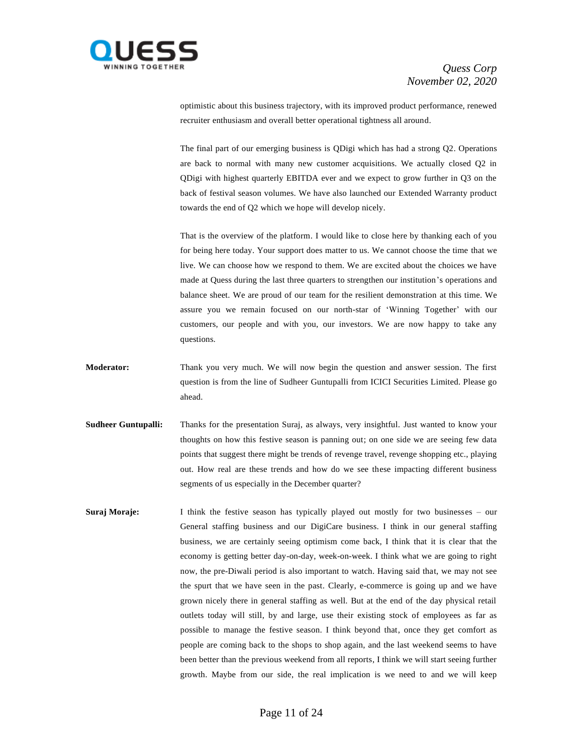

optimistic about this business trajectory, with its improved product performance, renewed recruiter enthusiasm and overall better operational tightness all around.

The final part of our emerging business is QDigi which has had a strong Q2. Operations are back to normal with many new customer acquisitions. We actually closed Q2 in QDigi with highest quarterly EBITDA ever and we expect to grow further in Q3 on the back of festival season volumes. We have also launched our Extended Warranty product towards the end of Q2 which we hope will develop nicely.

That is the overview of the platform. I would like to close here by thanking each of you for being here today. Your support does matter to us. We cannot choose the time that we live. We can choose how we respond to them. We are excited about the choices we have made at Quess during the last three quarters to strengthen our institution's operations and balance sheet. We are proud of our team for the resilient demonstration at this time. We assure you we remain focused on our north-star of 'Winning Together' with our customers, our people and with you, our investors. We are now happy to take any questions.

- **Moderator:** Thank you very much. We will now begin the question and answer session. The first question is from the line of Sudheer Guntupalli from ICICI Securities Limited. Please go ahead.
- **Sudheer Guntupalli:** Thanks for the presentation Suraj, as always, very insightful. Just wanted to know your thoughts on how this festive season is panning out; on one side we are seeing few data points that suggest there might be trends of revenge travel, revenge shopping etc., playing out. How real are these trends and how do we see these impacting different business segments of us especially in the December quarter?
- **Suraj Moraje:** I think the festive season has typically played out mostly for two businesses our General staffing business and our DigiCare business. I think in our general staffing business, we are certainly seeing optimism come back, I think that it is clear that the economy is getting better day-on-day, week-on-week. I think what we are going to right now, the pre-Diwali period is also important to watch. Having said that, we may not see the spurt that we have seen in the past. Clearly, e-commerce is going up and we have grown nicely there in general staffing as well. But at the end of the day physical retail outlets today will still, by and large, use their existing stock of employees as far as possible to manage the festive season. I think beyond that, once they get comfort as people are coming back to the shops to shop again, and the last weekend seems to have been better than the previous weekend from all reports, I think we will start seeing further growth. Maybe from our side, the real implication is we need to and we will keep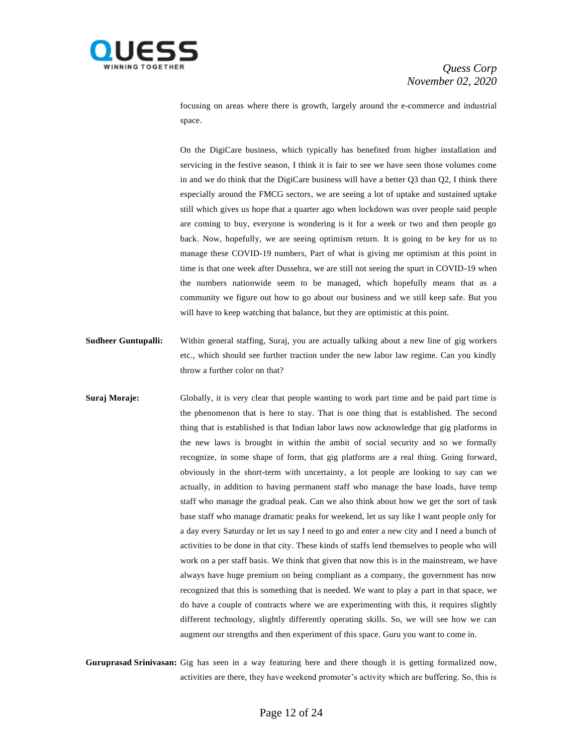

focusing on areas where there is growth, largely around the e-commerce and industrial space.

On the DigiCare business, which typically has benefited from higher installation and servicing in the festive season, I think it is fair to see we have seen those volumes come in and we do think that the DigiCare business will have a better Q3 than Q2, I think there especially around the FMCG sectors, we are seeing a lot of uptake and sustained uptake still which gives us hope that a quarter ago when lockdown was over people said people are coming to buy, everyone is wondering is it for a week or two and then people go back. Now, hopefully, we are seeing optimism return. It is going to be key for us to manage these COVID-19 numbers, Part of what is giving me optimism at this point in time is that one week after Dussehra, we are still not seeing the spurt in COVID-19 when the numbers nationwide seem to be managed, which hopefully means that as a community we figure out how to go about our business and we still keep safe. But you will have to keep watching that balance, but they are optimistic at this point.

- **Sudheer Guntupalli:** Within general staffing, Suraj, you are actually talking about a new line of gig workers etc., which should see further traction under the new labor law regime. Can you kindly throw a further color on that?
- **Suraj Moraje:** Globally, it is very clear that people wanting to work part time and be paid part time is the phenomenon that is here to stay. That is one thing that is established. The second thing that is established is that Indian labor laws now acknowledge that gig platforms in the new laws is brought in within the ambit of social security and so we formally recognize, in some shape of form, that gig platforms are a real thing. Going forward, obviously in the short-term with uncertainty, a lot people are looking to say can we actually, in addition to having permanent staff who manage the base loads, have temp staff who manage the gradual peak. Can we also think about how we get the sort of task base staff who manage dramatic peaks for weekend, let us say like I want people only for a day every Saturday or let us say I need to go and enter a new city and I need a bunch of activities to be done in that city. These kinds of staffs lend themselves to people who will work on a per staff basis. We think that given that now this is in the mainstream, we have always have huge premium on being compliant as a company, the government has now recognized that this is something that is needed. We want to play a part in that space, we do have a couple of contracts where we are experimenting with this, it requires slightly different technology, slightly differently operating skills. So, we will see how we can augment our strengths and then experiment of this space. Guru you want to come in.

**Guruprasad Srinivasan:** Gig has seen in a way featuring here and there though it is getting formalized now, activities are there, they have weekend promoter's activity which are buffering. So, this is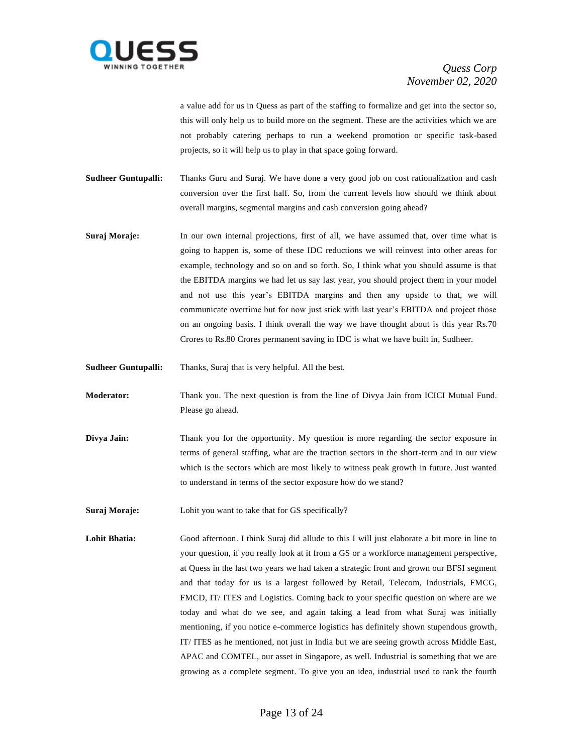

a value add for us in Quess as part of the staffing to formalize and get into the sector so, this will only help us to build more on the segment. These are the activities which we are not probably catering perhaps to run a weekend promotion or specific task-based projects, so it will help us to play in that space going forward.

**Sudheer Guntupalli:** Thanks Guru and Suraj. We have done a very good job on cost rationalization and cash conversion over the first half. So, from the current levels how should we think about overall margins, segmental margins and cash conversion going ahead?

- **Suraj Moraje:** In our own internal projections, first of all, we have assumed that, over time what is going to happen is, some of these IDC reductions we will reinvest into other areas for example, technology and so on and so forth. So, I think what you should assume is that the EBITDA margins we had let us say last year, you should project them in your model and not use this year's EBITDA margins and then any upside to that, we will communicate overtime but for now just stick with last year's EBITDA and project those on an ongoing basis. I think overall the way we have thought about is this year Rs.70 Crores to Rs.80 Crores permanent saving in IDC is what we have built in, Sudheer.
- **Sudheer Guntupalli:** Thanks, Suraj that is very helpful. All the best.

**Moderator:** Thank you. The next question is from the line of Divya Jain from ICICI Mutual Fund. Please go ahead.

- **Divya Jain:** Thank you for the opportunity. My question is more regarding the sector exposure in terms of general staffing, what are the traction sectors in the short-term and in our view which is the sectors which are most likely to witness peak growth in future. Just wanted to understand in terms of the sector exposure how do we stand?
- **Suraj Moraje:** Lohit you want to take that for GS specifically?
- **Lohit Bhatia:** Good afternoon. I think Suraj did allude to this I will just elaborate a bit more in line to your question, if you really look at it from a GS or a workforce management perspective, at Quess in the last two years we had taken a strategic front and grown our BFSI segment and that today for us is a largest followed by Retail, Telecom, Industrials, FMCG, FMCD, IT/ ITES and Logistics. Coming back to your specific question on where are we today and what do we see, and again taking a lead from what Suraj was initially mentioning, if you notice e-commerce logistics has definitely shown stupendous growth, IT/ ITES as he mentioned, not just in India but we are seeing growth across Middle East, APAC and COMTEL, our asset in Singapore, as well. Industrial is something that we are growing as a complete segment. To give you an idea, industrial used to rank the fourth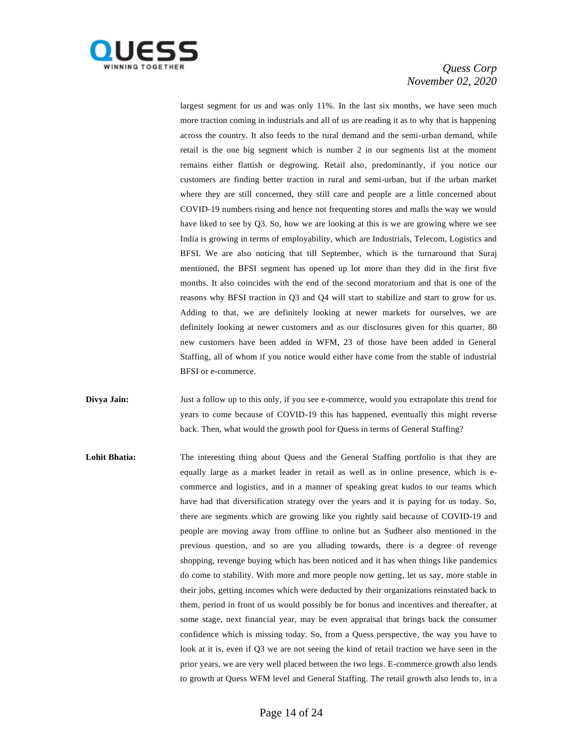

largest segment for us and was only 11%. In the last six months, we have seen much more traction coming in industrials and all of us are reading it as to why that is happening across the country. It also feeds to the rural demand and the semi-urban demand, while retail is the one big segment which is number 2 in our segments list at the moment remains either flattish or degrowing. Retail also, predominantly, if you notice our customers are finding better traction in rural and semi-urban, but if the urban market where they are still concerned, they still care and people are a little concerned about COVID-19 numbers rising and hence not frequenting stores and malls the way we would have liked to see by Q3. So, how we are looking at this is we are growing where we see India is growing in terms of employability, which are Industrials, Telecom, Logistics and BFSI. We are also noticing that till September, which is the turnaround that Suraj mentioned, the BFSI segment has opened up lot more than they did in the first five months. It also coincides with the end of the second moratorium and that is one of the reasons why BFSI traction in Q3 and Q4 will start to stabilize and start to grow for us. Adding to that, we are definitely looking at newer markets for ourselves, we are definitely looking at newer customers and as our disclosures given for this quarter, 80 new customers have been added in WFM, 23 of those have been added in General Staffing, all of whom if you notice would either have come from the stable of industrial BFSI or e-commerce.

**Divya Jain:** Just a follow up to this only, if you see e-commerce, would you extrapolate this trend for years to come because of COVID-19 this has happened, eventually this might reverse back. Then, what would the growth pool for Quess in terms of General Staffing?

Lohit Bhatia: The interesting thing about Quess and the General Staffing portfolio is that they are equally large as a market leader in retail as well as in online presence, which is ecommerce and logistics, and in a manner of speaking great kudos to our teams which have had that diversification strategy over the years and it is paying for us today. So, there are segments which are growing like you rightly said because of COVID-19 and people are moving away from offline to online but as Sudheer also mentioned in the previous question, and so are you alluding towards, there is a degree of revenge shopping, revenge buying which has been noticed and it has when things like pandemics do come to stability. With more and more people now getting, let us say, more stable in their jobs, getting incomes which were deducted by their organizations reinstated back to them, period in front of us would possibly be for bonus and incentives and thereafter, at some stage, next financial year, may be even appraisal that brings back the consumer confidence which is missing today. So, from a Quess perspective, the way you have to look at it is, even if Q3 we are not seeing the kind of retail traction we have seen in the prior years, we are very well placed between the two legs. E-commerce growth also lends to growth at Quess WFM level and General Staffing. The retail growth also lends to, in a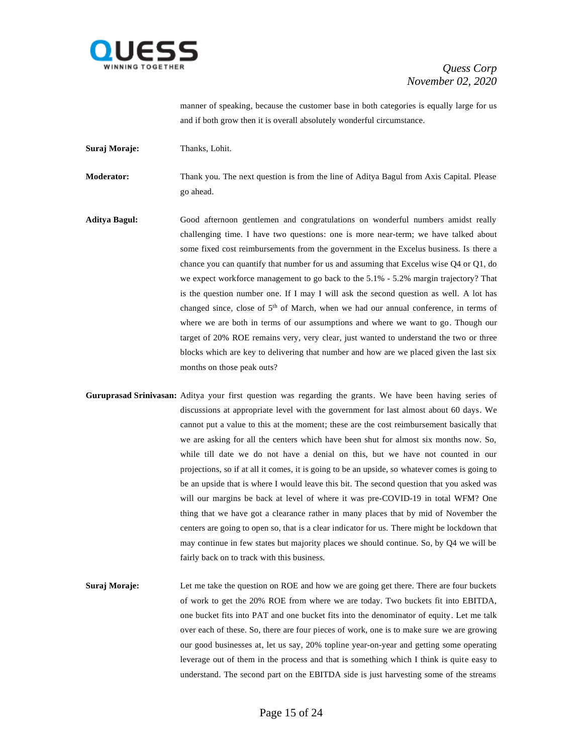

manner of speaking, because the customer base in both categories is equally large for us and if both grow then it is overall absolutely wonderful circumstance.

**Suraj Moraje:** Thanks, Lohit.

**Moderator:** Thank you. The next question is from the line of Aditya Bagul from Axis Capital. Please go ahead.

- **Aditya Bagul:** Good afternoon gentlemen and congratulations on wonderful numbers amidst really challenging time. I have two questions: one is more near-term; we have talked about some fixed cost reimbursements from the government in the Excelus business. Is there a chance you can quantify that number for us and assuming that Excelus wise Q4 or Q1, do we expect workforce management to go back to the 5.1% - 5.2% margin trajectory? That is the question number one. If I may I will ask the second question as well. A lot has changed since, close of 5<sup>th</sup> of March, when we had our annual conference, in terms of where we are both in terms of our assumptions and where we want to go. Though our target of 20% ROE remains very, very clear, just wanted to understand the two or three blocks which are key to delivering that number and how are we placed given the last six months on those peak outs?
- **Guruprasad Srinivasan:** Aditya your first question was regarding the grants. We have been having series of discussions at appropriate level with the government for last almost about 60 days. We cannot put a value to this at the moment; these are the cost reimbursement basically that we are asking for all the centers which have been shut for almost six months now. So, while till date we do not have a denial on this, but we have not counted in our projections, so if at all it comes, it is going to be an upside, so whatever comes is going to be an upside that is where I would leave this bit. The second question that you asked was will our margins be back at level of where it was pre-COVID-19 in total WFM? One thing that we have got a clearance rather in many places that by mid of November the centers are going to open so, that is a clear indicator for us. There might be lockdown that may continue in few states but majority places we should continue. So, by Q4 we will be fairly back on to track with this business.
- **Suraj Moraje:** Let me take the question on ROE and how we are going get there. There are four buckets of work to get the 20% ROE from where we are today. Two buckets fit into EBITDA, one bucket fits into PAT and one bucket fits into the denominator of equity. Let me talk over each of these. So, there are four pieces of work, one is to make sure we are growing our good businesses at, let us say, 20% topline year-on-year and getting some operating leverage out of them in the process and that is something which I think is quite easy to understand. The second part on the EBITDA side is just harvesting some of the streams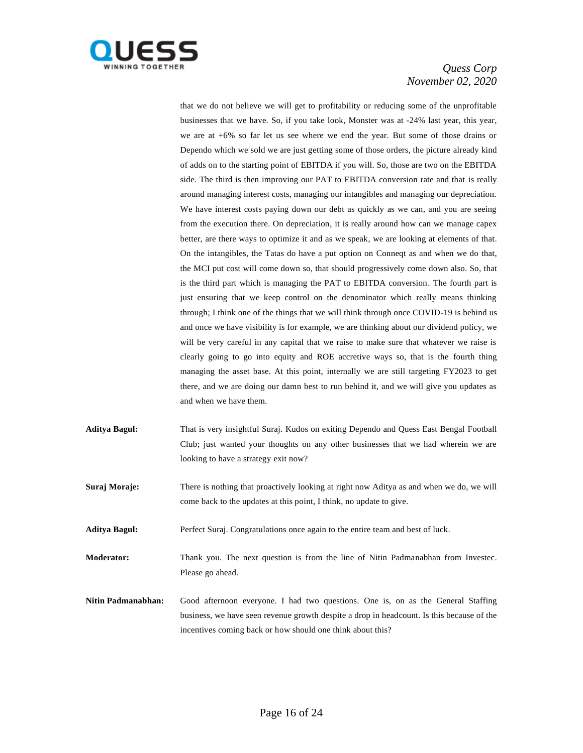

that we do not believe we will get to profitability or reducing some of the unprofitable businesses that we have. So, if you take look, Monster was at -24% last year, this year, we are at +6% so far let us see where we end the year. But some of those drains or Dependo which we sold we are just getting some of those orders, the picture already kind of adds on to the starting point of EBITDA if you will. So, those are two on the EBITDA side. The third is then improving our PAT to EBITDA conversion rate and that is really around managing interest costs, managing our intangibles and managing our depreciation. We have interest costs paying down our debt as quickly as we can, and you are seeing from the execution there. On depreciation, it is really around how can we manage capex better, are there ways to optimize it and as we speak, we are looking at elements of that. On the intangibles, the Tatas do have a put option on Conneqt as and when we do that, the MCI put cost will come down so, that should progressively come down also. So, that is the third part which is managing the PAT to EBITDA conversion. The fourth part is just ensuring that we keep control on the denominator which really means thinking through; I think one of the things that we will think through once COVID-19 is behind us and once we have visibility is for example, we are thinking about our dividend policy, we will be very careful in any capital that we raise to make sure that whatever we raise is clearly going to go into equity and ROE accretive ways so, that is the fourth thing managing the asset base. At this point, internally we are still targeting FY2023 to get there, and we are doing our damn best to run behind it, and we will give you updates as and when we have them.

- **Aditya Bagul:** That is very insightful Suraj. Kudos on exiting Dependo and Quess East Bengal Football Club; just wanted your thoughts on any other businesses that we had wherein we are looking to have a strategy exit now?
- **Suraj Moraje:** There is nothing that proactively looking at right now Aditya as and when we do, we will come back to the updates at this point, I think, no update to give.
- Aditya Bagul: Perfect Suraj. Congratulations once again to the entire team and best of luck.
- **Moderator:** Thank you. The next question is from the line of Nitin Padmanabhan from Investec. Please go ahead.
- **Nitin Padmanabhan:** Good afternoon everyone. I had two questions. One is, on as the General Staffing business, we have seen revenue growth despite a drop in headcount. Is this because of the incentives coming back or how should one think about this?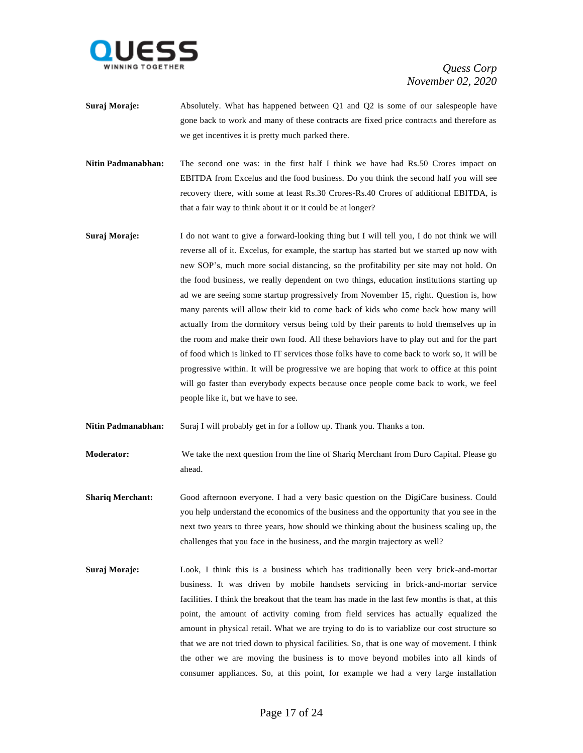

- **Suraj Moraje:** Absolutely. What has happened between Q1 and Q2 is some of our salespeople have gone back to work and many of these contracts are fixed price contracts and therefore as we get incentives it is pretty much parked there.
- **Nitin Padmanabhan:** The second one was: in the first half I think we have had Rs.50 Crores impact on EBITDA from Excelus and the food business. Do you think the second half you will see recovery there, with some at least Rs.30 Crores-Rs.40 Crores of additional EBITDA, is that a fair way to think about it or it could be at longer?
- **Suraj Moraje:** I do not want to give a forward-looking thing but I will tell you, I do not think we will reverse all of it. Excelus, for example, the startup has started but we started up now with new SOP's, much more social distancing, so the profitability per site may not hold. On the food business, we really dependent on two things, education institutions starting up ad we are seeing some startup progressively from November 15, right. Question is, how many parents will allow their kid to come back of kids who come back how many will actually from the dormitory versus being told by their parents to hold themselves up in the room and make their own food. All these behaviors have to play out and for the part of food which is linked to IT services those folks have to come back to work so, it will be progressive within. It will be progressive we are hoping that work to office at this point will go faster than everybody expects because once people come back to work, we feel people like it, but we have to see.
- **Nitin Padmanabhan:** Suraj I will probably get in for a follow up. Thank you. Thanks a ton.
- **Moderator:** We take the next question from the line of Shariq Merchant from Duro Capital. Please go ahead.
- **Shariq Merchant:** Good afternoon everyone. I had a very basic question on the DigiCare business. Could you help understand the economics of the business and the opportunity that you see in the next two years to three years, how should we thinking about the business scaling up, the challenges that you face in the business, and the margin trajectory as well?
- **Suraj Moraje:** Look, I think this is a business which has traditionally been very brick-and-mortar business. It was driven by mobile handsets servicing in brick-and-mortar service facilities. I think the breakout that the team has made in the last few months is that, at this point, the amount of activity coming from field services has actually equalized the amount in physical retail. What we are trying to do is to variablize our cost structure so that we are not tried down to physical facilities. So, that is one way of movement. I think the other we are moving the business is to move beyond mobiles into all kinds of consumer appliances. So, at this point, for example we had a very large installation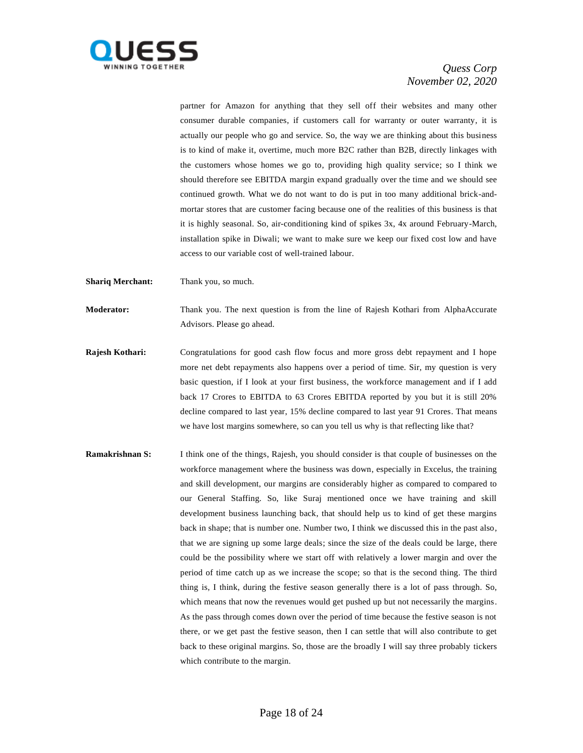

partner for Amazon for anything that they sell off their websites and many other consumer durable companies, if customers call for warranty or outer warranty, it is actually our people who go and service. So, the way we are thinking about this business is to kind of make it, overtime, much more B2C rather than B2B, directly linkages with the customers whose homes we go to, providing high quality service; so I think we should therefore see EBITDA margin expand gradually over the time and we should see continued growth. What we do not want to do is put in too many additional brick-andmortar stores that are customer facing because one of the realities of this business is that it is highly seasonal. So, air-conditioning kind of spikes 3x, 4x around February-March, installation spike in Diwali; we want to make sure we keep our fixed cost low and have access to our variable cost of well-trained labour.

**Shariq Merchant:** Thank you, so much.

**Moderator:** Thank you. The next question is from the line of Rajesh Kothari from AlphaAccurate Advisors. Please go ahead.

- **Rajesh Kothari:** Congratulations for good cash flow focus and more gross debt repayment and I hope more net debt repayments also happens over a period of time. Sir, my question is very basic question, if I look at your first business, the workforce management and if I add back 17 Crores to EBITDA to 63 Crores EBITDA reported by you but it is still 20% decline compared to last year, 15% decline compared to last year 91 Crores. That means we have lost margins somewhere, so can you tell us why is that reflecting like that?
- **Ramakrishnan S:** I think one of the things, Rajesh, you should consider is that couple of businesses on the workforce management where the business was down, especially in Excelus, the training and skill development, our margins are considerably higher as compared to compared to our General Staffing. So, like Suraj mentioned once we have training and skill development business launching back, that should help us to kind of get these margins back in shape; that is number one. Number two, I think we discussed this in the past also, that we are signing up some large deals; since the size of the deals could be large, there could be the possibility where we start off with relatively a lower margin and over the period of time catch up as we increase the scope; so that is the second thing. The third thing is, I think, during the festive season generally there is a lot of pass through. So, which means that now the revenues would get pushed up but not necessarily the margins. As the pass through comes down over the period of time because the festive season is not there, or we get past the festive season, then I can settle that will also contribute to get back to these original margins. So, those are the broadly I will say three probably tickers which contribute to the margin.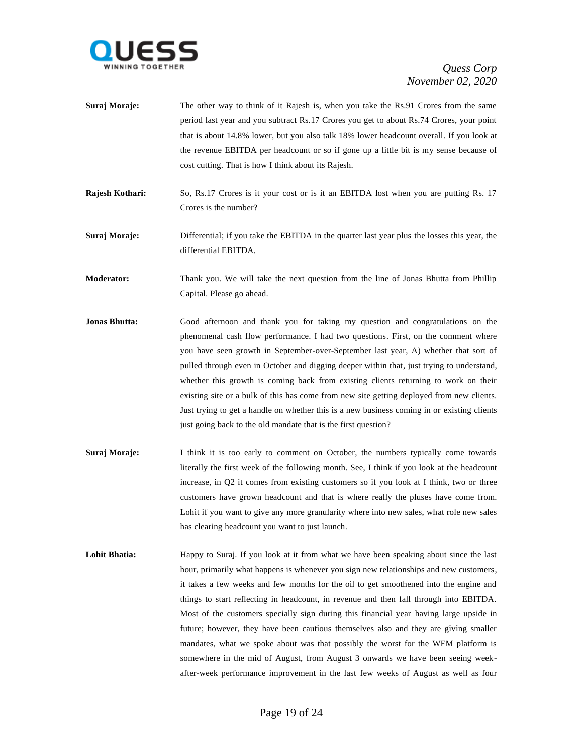

| Suraj Moraje: | The other way to think of it Rajesh is, when you take the Rs.91 Crores from the same     |
|---------------|------------------------------------------------------------------------------------------|
|               | period last year and you subtract Rs.17 Crores you get to about Rs.74 Crores, your point |
|               | that is about 14.8% lower, but you also talk 18% lower headcount overall. If you look at |
|               | the revenue EBITDA per headcount or so if gone up a little bit is my sense because of    |
|               | cost cutting. That is how I think about its Rajesh.                                      |

- **Rajesh Kothari:** So, Rs.17 Crores is it your cost or is it an EBITDA lost when you are putting Rs. 17 Crores is the number?
- **Suraj Moraje:** Differential; if you take the EBITDA in the quarter last year plus the losses this year, the differential EBITDA.

**Moderator:** Thank you. We will take the next question from the line of Jonas Bhutta from Phillip Capital. Please go ahead.

- **Jonas Bhutta:** Good afternoon and thank you for taking my question and congratulations on the phenomenal cash flow performance. I had two questions. First, on the comment where you have seen growth in September-over-September last year, A) whether that sort of pulled through even in October and digging deeper within that, just trying to understand, whether this growth is coming back from existing clients returning to work on their existing site or a bulk of this has come from new site getting deployed from new clients. Just trying to get a handle on whether this is a new business coming in or existing clients just going back to the old mandate that is the first question?
- **Suraj Moraje:** I think it is too early to comment on October, the numbers typically come towards literally the first week of the following month. See, I think if you look at the headcount increase, in Q2 it comes from existing customers so if you look at I think, two or three customers have grown headcount and that is where really the pluses have come from. Lohit if you want to give any more granularity where into new sales, what role new sales has clearing headcount you want to just launch.
- Lohit Bhatia: Happy to Suraj. If you look at it from what we have been speaking about since the last hour, primarily what happens is whenever you sign new relationships and new customers, it takes a few weeks and few months for the oil to get smoothened into the engine and things to start reflecting in headcount, in revenue and then fall through into EBITDA. Most of the customers specially sign during this financial year having large upside in future; however, they have been cautious themselves also and they are giving smaller mandates, what we spoke about was that possibly the worst for the WFM platform is somewhere in the mid of August, from August 3 onwards we have been seeing weekafter-week performance improvement in the last few weeks of August as well as four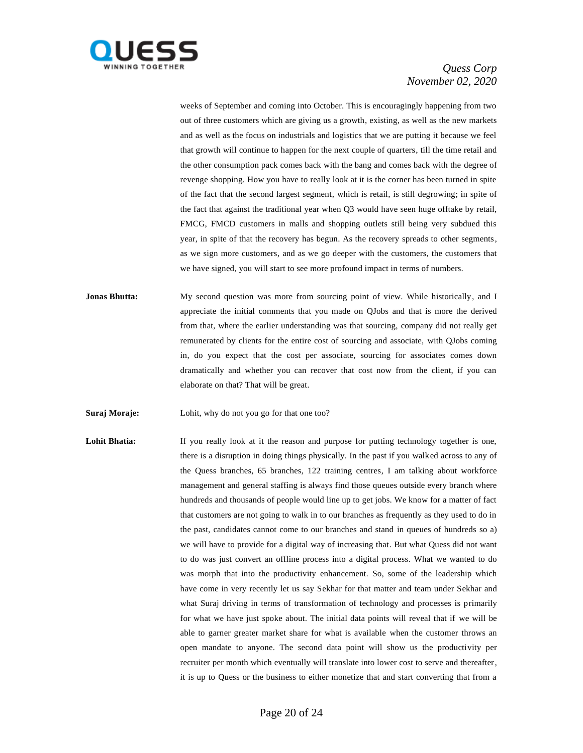

weeks of September and coming into October. This is encouragingly happening from two out of three customers which are giving us a growth, existing, as well as the new markets and as well as the focus on industrials and logistics that we are putting it because we feel that growth will continue to happen for the next couple of quarters, till the time retail and the other consumption pack comes back with the bang and comes back with the degree of revenge shopping. How you have to really look at it is the corner has been turned in spite of the fact that the second largest segment, which is retail, is still degrowing; in spite of the fact that against the traditional year when Q3 would have seen huge offtake by retail, FMCG, FMCD customers in malls and shopping outlets still being very subdued this year, in spite of that the recovery has begun. As the recovery spreads to other segments, as we sign more customers, and as we go deeper with the customers, the customers that we have signed, you will start to see more profound impact in terms of numbers.

- **Jonas Bhutta:** My second question was more from sourcing point of view. While historically, and I appreciate the initial comments that you made on QJobs and that is more the derived from that, where the earlier understanding was that sourcing, company did not really get remunerated by clients for the entire cost of sourcing and associate, with QJobs coming in, do you expect that the cost per associate, sourcing for associates comes down dramatically and whether you can recover that cost now from the client, if you can elaborate on that? That will be great.
- **Suraj Moraje:** Lohit, why do not you go for that one too?

**Lohit Bhatia:** If you really look at it the reason and purpose for putting technology together is one, there is a disruption in doing things physically. In the past if you walked across to any of the Quess branches, 65 branches, 122 training centres, I am talking about workforce management and general staffing is always find those queues outside every branch where hundreds and thousands of people would line up to get jobs. We know for a matter of fact that customers are not going to walk in to our branches as frequently as they used to do in the past, candidates cannot come to our branches and stand in queues of hundreds so a) we will have to provide for a digital way of increasing that. But what Quess did not want to do was just convert an offline process into a digital process. What we wanted to do was morph that into the productivity enhancement. So, some of the leadership which have come in very recently let us say Sekhar for that matter and team under Sekhar and what Suraj driving in terms of transformation of technology and processes is primarily for what we have just spoke about. The initial data points will reveal that if we will be able to garner greater market share for what is available when the customer throws an open mandate to anyone. The second data point will show us the productivity per recruiter per month which eventually will translate into lower cost to serve and thereafter, it is up to Quess or the business to either monetize that and start converting that from a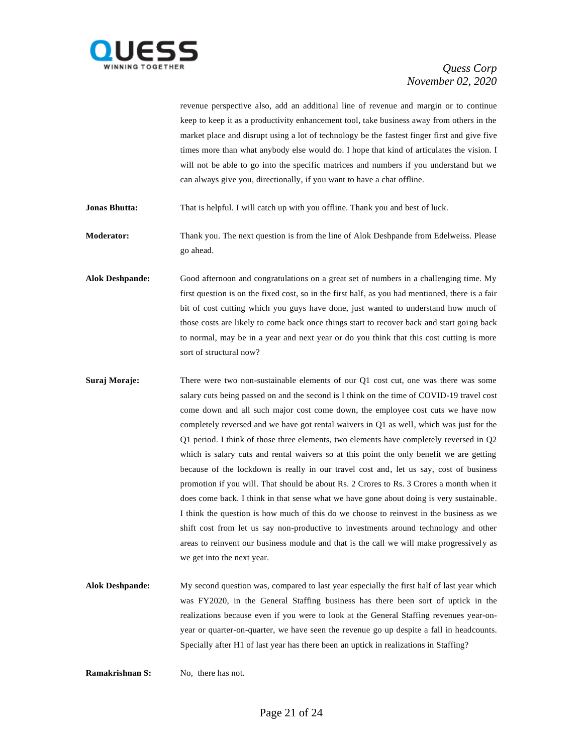

revenue perspective also, add an additional line of revenue and margin or to continue keep to keep it as a productivity enhancement tool, take business away from others in the market place and disrupt using a lot of technology be the fastest finger first and give five times more than what anybody else would do. I hope that kind of articulates the vision. I will not be able to go into the specific matrices and numbers if you understand but we can always give you, directionally, if you want to have a chat offline.

**Jonas Bhutta:** That is helpful. I will catch up with you offline. Thank you and best of luck.

**Moderator:** Thank you. The next question is from the line of Alok Deshpande from Edelweiss. Please go ahead.

**Alok Deshpande:** Good afternoon and congratulations on a great set of numbers in a challenging time. My first question is on the fixed cost, so in the first half, as you had mentioned, there is a fair bit of cost cutting which you guys have done, just wanted to understand how much of those costs are likely to come back once things start to recover back and start going back to normal, may be in a year and next year or do you think that this cost cutting is more sort of structural now?

- **Suraj Moraje:** There were two non-sustainable elements of our Q1 cost cut, one was there was some salary cuts being passed on and the second is I think on the time of COVID-19 travel cost come down and all such major cost come down, the employee cost cuts we have now completely reversed and we have got rental waivers in Q1 as well, which was just for the Q1 period. I think of those three elements, two elements have completely reversed in Q2 which is salary cuts and rental waivers so at this point the only benefit we are getting because of the lockdown is really in our travel cost and, let us say, cost of business promotion if you will. That should be about Rs. 2 Crores to Rs. 3 Crores a month when it does come back. I think in that sense what we have gone about doing is very sustainable. I think the question is how much of this do we choose to reinvest in the business as we shift cost from let us say non-productive to investments around technology and other areas to reinvent our business module and that is the call we will make progressively as we get into the next year.
- **Alok Deshpande:** My second question was, compared to last year especially the first half of last year which was FY2020, in the General Staffing business has there been sort of uptick in the realizations because even if you were to look at the General Staffing revenues year-onyear or quarter-on-quarter, we have seen the revenue go up despite a fall in headcounts. Specially after H1 of last year has there been an uptick in realizations in Staffing?

**Ramakrishnan S:** No, there has not.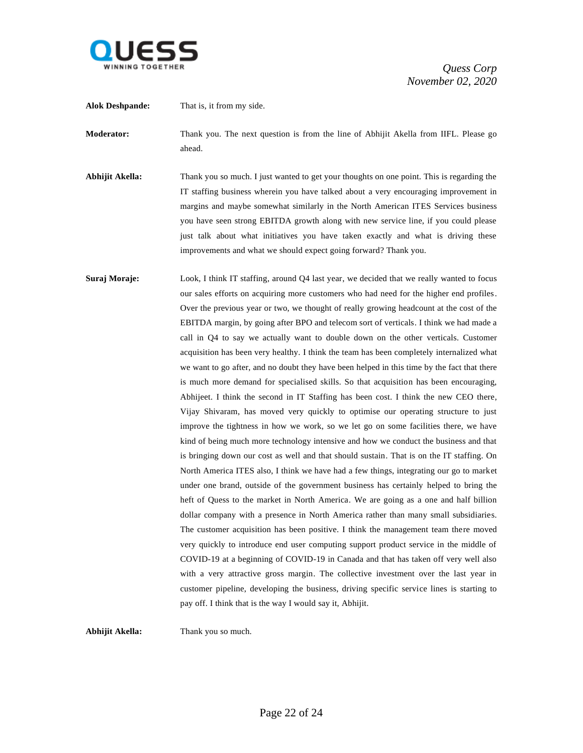

**Alok Deshpande:** That is, it from my side. **Moderator:** Thank you. The next question is from the line of Abhijit Akella from IIFL. Please go ahead. **Abhijit Akella:** Thank you so much. I just wanted to get your thoughts on one point. This is regarding the IT staffing business wherein you have talked about a very encouraging improvement in margins and maybe somewhat similarly in the North American ITES Services business you have seen strong EBITDA growth along with new service line, if you could please just talk about what initiatives you have taken exactly and what is driving these improvements and what we should expect going forward? Thank you. **Suraj Moraje:** Look, I think IT staffing, around Q4 last year, we decided that we really wanted to focus our sales efforts on acquiring more customers who had need for the higher end profiles. Over the previous year or two, we thought of really growing headcount at the cost of the EBITDA margin, by going after BPO and telecom sort of verticals. I think we had made a call in Q4 to say we actually want to double down on the other verticals. Customer acquisition has been very healthy. I think the team has been completely internalized what we want to go after, and no doubt they have been helped in this time by the fact that there is much more demand for specialised skills. So that acquisition has been encouraging, Abhijeet. I think the second in IT Staffing has been cost. I think the new CEO there, Vijay Shivaram, has moved very quickly to optimise our operating structure to just improve the tightness in how we work, so we let go on some facilities there, we have kind of being much more technology intensive and how we conduct the business and that is bringing down our cost as well and that should sustain. That is on the IT staffing. On North America ITES also, I think we have had a few things, integrating our go to market under one brand, outside of the government business has certainly helped to bring the heft of Quess to the market in North America. We are going as a one and half billion dollar company with a presence in North America rather than many small subsidiaries. The customer acquisition has been positive. I think the management team there moved very quickly to introduce end user computing support product service in the middle of COVID-19 at a beginning of COVID-19 in Canada and that has taken off very well also with a very attractive gross margin. The collective investment over the last year in customer pipeline, developing the business, driving specific service lines is starting to pay off. I think that is the way I would say it, Abhijit.

**Abhijit Akella:** Thank you so much.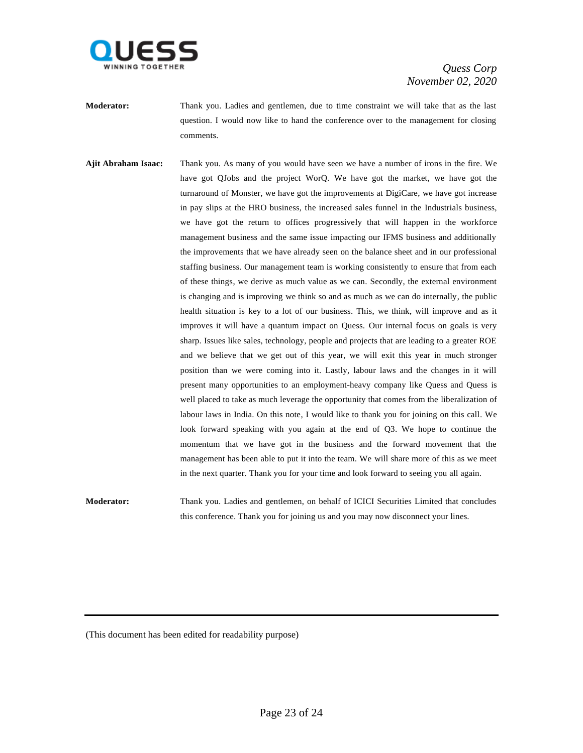

- **Moderator:** Thank you. Ladies and gentlemen, due to time constraint we will take that as the last question. I would now like to hand the conference over to the management for closing comments.
- **Ajit Abraham Isaac:** Thank you. As many of you would have seen we have a number of irons in the fire. We have got QJobs and the project WorQ. We have got the market, we have got the turnaround of Monster, we have got the improvements at DigiCare, we have got increase in pay slips at the HRO business, the increased sales funnel in the Industrials business, we have got the return to offices progressively that will happen in the workforce management business and the same issue impacting our IFMS business and additionally the improvements that we have already seen on the balance sheet and in our professional staffing business. Our management team is working consistently to ensure that from each of these things, we derive as much value as we can. Secondly, the external environment is changing and is improving we think so and as much as we can do internally, the public health situation is key to a lot of our business. This, we think, will improve and as it improves it will have a quantum impact on Quess. Our internal focus on goals is very sharp. Issues like sales, technology, people and projects that are leading to a greater ROE and we believe that we get out of this year, we will exit this year in much stronger position than we were coming into it. Lastly, labour laws and the changes in it will present many opportunities to an employment-heavy company like Quess and Quess is well placed to take as much leverage the opportunity that comes from the liberalization of labour laws in India. On this note, I would like to thank you for joining on this call. We look forward speaking with you again at the end of Q3. We hope to continue the momentum that we have got in the business and the forward movement that the management has been able to put it into the team. We will share more of this as we meet in the next quarter. Thank you for your time and look forward to seeing you all again.

**Moderator:** Thank you. Ladies and gentlemen, on behalf of ICICI Securities Limited that concludes this conference. Thank you for joining us and you may now disconnect your lines.

(This document has been edited for readability purpose)